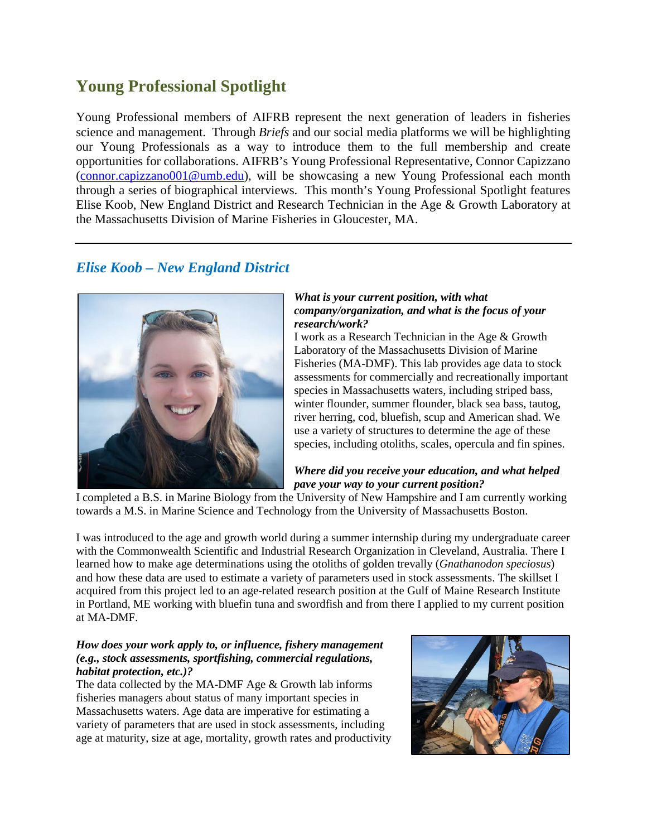# **Young Professional Spotlight**

Young Professional members of AIFRB represent the next generation of leaders in fisheries science and management. Through *Briefs* and our social media platforms we will be highlighting our Young Professionals as a way to introduce them to the full membership and create opportunities for collaborations. AIFRB's Young Professional Representative, Connor Capizzano [\(connor.capizzano001@umb.edu\)](mailto:connor.capizzano001@umb.edu), will be showcasing a new Young Professional each month through a series of biographical interviews. This month's Young Professional Spotlight features Elise Koob, New England District and Research Technician in the Age & Growth Laboratory at the Massachusetts Division of Marine Fisheries in Gloucester, MA.

## *Elise Koob – New England District*



#### *What is your current position, with what company/organization, and what is the focus of your research/work?*

I work as a Research Technician in the Age & Growth Laboratory of the Massachusetts Division of Marine Fisheries (MA-DMF). This lab provides age data to stock assessments for commercially and recreationally important species in Massachusetts waters, including striped bass, winter flounder, summer flounder, black sea bass, tautog, river herring, cod, bluefish, scup and American shad. We use a variety of structures to determine the age of these species, including otoliths, scales, opercula and fin spines.

### *Where did you receive your education, and what helped pave your way to your current position?*

I completed a B.S. in Marine Biology from the University of New Hampshire and I am currently working towards a M.S. in Marine Science and Technology from the University of Massachusetts Boston.

I was introduced to the age and growth world during a summer internship during my undergraduate career with the Commonwealth Scientific and Industrial Research Organization in Cleveland, Australia. There I learned how to make age determinations using the otoliths of golden trevally (*Gnathanodon speciosus*) and how these data are used to estimate a variety of parameters used in stock assessments. The skillset I acquired from this project led to an age-related research position at the Gulf of Maine Research Institute in Portland, ME working with bluefin tuna and swordfish and from there I applied to my current position at MA-DMF.

#### *How does your work apply to, or influence, fishery management (e.g., stock assessments, sportfishing, commercial regulations, habitat protection, etc.)?*

The data collected by the MA-DMF Age & Growth lab informs fisheries managers about status of many important species in Massachusetts waters. Age data are imperative for estimating a variety of parameters that are used in stock assessments, including age at maturity, size at age, mortality, growth rates and productivity